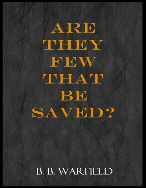ARE THEY FEW THAT BE **SAVED?** 

**B. B. WARFIELD**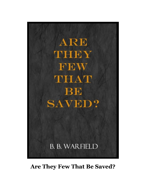

## **Are They Few That Be Saved?**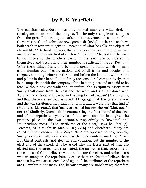## **by B. B. Warfield**

The paucitas salvandorum has long ranked among a wide circle of theologians as an established dogma. To cite only a couple of examples from the great Lutheran systematists of the seventeenth century, John Gerhard (1621) and John Andrew Quenstedt (1685), uncle and nephew, both teach it without misgiving. Speaking of what he calls "the object of eternal life," "Gerhard remarks, that so far as sinners of the human race are concerned, they are first of all "few." "No doubt," he adds in the wish to do justice to the whole subject, "if the elect are considered in themselves and absolutely, their number is sufficiently large (Rev. 7:9: 'After these things I saw and behold a great multitude which no man could number out of every nation, and of all tribes and peoples and tongues, standing before the throne and before the lamb, in white robes and palms in their hands'). But if they are considered comparatively, that is in comparison with the company of the lost, they are and are said to be few. Without any contradiction, therefore, the Scriptures assert that 'many shall come from the east and the west, and shall sit down with Abraham and Isaac and Jacob in the kingdom of heaven' (Matt. 18:11), and that 'there are few that be saved' (Lk. 13:23), that 'the gate is narrow and the way straitened that leadeth unto life, and few are they that find it' (Mat. 7:14; Lk. 13:24), that 'many are called but few chosen' (Mat. 20:16; 22:14)." Similarly, Quenstedt, in enumerating the "attributes" of the elect and of the reprobate—synonyms of the saved and the lost—gives the primary place in the two instances respectively to 'fewness" and "multitudinousness." "The attributes of the elect," says he, "are (1). Fewness, as is taught in Mat. 20:16; 22:14 and elsewhere. 'Many are called but few chosen.' Here ὀλίγοι 'few' are opposed to τοῖς πολλοῖς, 'many,' or πασῖν, 'all,' as is shown by the lucid contrast made by Christ. But Christ contrasts, not election and vocation, but the number of the elect and of the called. If it be asked why the lesser part of men are elected and the larger part reprobated, the answer is that, according to the counsel of God, believers who are few are the elect, and unbelievers who are many are the reprobate. Because there are few that believe, there are also few who are elected." And again: "The attributes of the reprobate are (1) multitudinousness. For, because many are unbelieving, therefore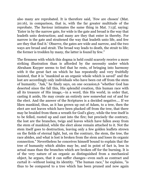also many are reprobated. It is therefore said, 'Few are chosen' (Mat. 20:16), in comparison, that is, with the far greater multitude of the reprobate. The Saviour intimates the same thing in Mat. 7:13f, saying: 'Enter in by the narrow gate, for wide is the gate and broad is the way that leadeth unto destruction; and many are they that enter in thereby. For narrow is the gate and straitened the way that leadeth unto life, and few are they that find it.' Observe, the gates are wide and narrow, and the two ways are broad and strait. The broad way leads to death, the strait to life; the former is trodden by many, the latter is found by few."

The firmness with which this dogma is held could scarcely receive a more striking illustration than is afforded by the necessity under which Abraham Kuyper seems to feel that he rests, of bringing into harmony with it the great fact on which he has repeatedly and very fruitfully insisted, that it is "mankind as an organic whole which is saved" and the lost are accordingly only individuals who have been cut off from the stem of humanity. "Ask," he finely says, on one occasion,6 "whether God has deserted since the fall this, His splendid creation, this human race with all its treasure of His image,—in a word, this His world, in order that, casting it aside, He may create an entirely new somewhat out of and for the elect. And the answer of the Scriptures is a decided negative.… If we liken mankind, thus, as it has grown up out of Adam, to a tree, then the elect are not leaves which have been plucked off from the tree, that there may be braided from them a wreath for God's glory, while the tree itself is to be felled, rooted up and cast into the fire; but precisely the contrary, the lost are the branches, twigs and leaves which have fallen away from the stem of mankind, while the elect alone remain attached to it. Not the stem itself goes to destruction, leaving only a few golden leaflets strewn on the fields of eternal light, but, on the contrary, the stem, the tree, the race abides, and what is lost is broken from the stem and loses its organic connection." Nevertheless he conceives himself bound to explain that the tree of humanity which abides may be, and in point of fact is, less in actual mass than the branches which are broken off for the burning. It is of the very nature of an organic as distinguished from a mechanical object, he argues, that it can suffer changes—even such as contract and curtail it—without losing its identity. "The human race," he explains, "is thus to be compared to a tree which has been pruned and now again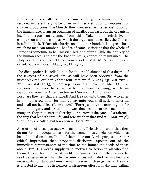shoots up in a smaller size. The ruin of the genus humanum is not restored in its entirety; it becomes in its reconstitution an organism of smaller proportions. The Church, thus, conceived as the reconstitution of the human race, forms an organism of smaller compass, but the organism itself undergoes no change from this. Taken thus relatively, in comparison with the compass which the organism had earlier, the Church is a little flock. Taken absolutely, on the other hand, it is a great host which no man can number. The idea of some Christians that the whole of Europe is sometime to be Christianized, and after a while the entirety of the human race is to bow the knee to Jesus, cannot be maintained. The Holy Scriptures contradict this erroneous idea: Mat. 20:16, 'For many are called, but few chosen,' Mat. 7:14; Lk. 13:23."

The dicta probantia, relied upon for the establishment of this dogma of the fewness of the saved, are, as will have been observed from the instances cited, ordinarily these four: Mat. 7:14f; Luke 13:23f; Mat. 20:16; 22:14. As Mat. 20:13, a mere repetition in any event of Mat. 22:14, is spurious, the proof texts reduce to the three following, which we reproduce from the American Revised Version. "And one said unto him, Lord, are they few that are saved? And He said unto them, Strive to enter in by the narrow door: for many, I say unto you, shall seek to enter in, and shall not be able." (Luke 13:23f.) "Enter ye in by the narrow gate: for wide is the gate, and broad is the way that leadeth to destruction, and many are they that enter in thereby. For narrow is the gate and straitened the way that leadeth into life, and few are they that find it." (Mat. 7:13f.) "For many are called, but few chosen." (Mat. 22:14.)

A scrutiny of these passages will make it sufficiently apparent that they do not form an adequate basis for the tremendous conclusion which has been founded on them. In all of them alike our Lord's purpose is rather ethical impression than prophetic disclosure. Spoken out of the immediate circumstances of the time to the immediate needs of those about Him, His words supply valid motives to action to all who find themselves with similar needs in like circumstances; but they cannot be read as assurances that the circumstances intimated or implied are necessarily constant and must remain forever unchanged. What He says is directed to inciting His hearers to strenuous effort to make their calling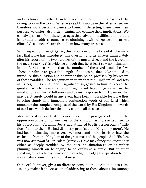and election sure, rather than to revealing to them the final issue of His saving work in the world. When we read His words in the latter sense, we, therefore, do a certain violence to them; in deflecting them from their purpose we distort also their meaning and confuse their implications. We can always learn from these passages that salvation is difficult and that it is our duty to address ourselves to obtaining it with diligence and earnest effort. We can never learn from them how many are saved.

With respect to Luke 13:23, 24, this is obvious on the face of it. The mere fact that Luke has introduced this question and its answer immediately after his record of the two parables of the mustard seed and the leaven in the meal (13:18–21) is evidence enough that he at least saw no intimation in our Lord's declaration that the number of the saved would be few. Theodor Zahn even goes the length of supposing that Luke was led to introduce this question and answer at this point, precisely by his record of these parables. The recognition in them that the Kingdom of God was in its beginnings small and insignificant suggested to him to record the question which these small and insignificant beginnings raised in the mind of one of Jesus' followers and Jesus' response to it. However that may be, it surely would in any event have been impossible for Luke thus to bring simply into immediate conjunction words of our Lord which announce the complete conquest of the world by His Kingdom and words of our Lord which declare that only a few shall be saved.

Meanwhile it is clear that the questioner in our passage spoke under the oppression of the pitiful weakness of the Kingdom as it presented itself to his observation. Certainly Jesus had attracted to His person only a "little flock," and to them He had distinctly promised the Kingdom (12:32). He had been intimating, moreover, ever more and more clearly of late, the exclusion from the Kingdom of the great mass of the people. And His face was now set towards Jerusalem (verse 22). We may fancy the questioner either as deeply troubled by the puzzling situation,12 or as rather pluming himself on belonging to so exclusive a circle. But whether speaking out of a heavy heart or out of a light head,14 the question he put was a natural one in the circumstances.

Our Lord, however, gives no direct response to the question put to Him. He only makes it the occasion of addressing to those about Him (among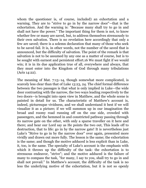whom the questioner is, of course, included) an exhortation and a warning. They are to "strive to go in by the narrow door"—that is the exhortation. And the warning is: "Because many shall try to go in and shall not have the power." The important thing for them is not, to know whether few or many are saved, but, to address themselves strenuously to their own salvation. There is no revelation here accordingly that only a few are saved; there is a solemn declaration that many of those who seek to be saved fail. It is, in other words, not the number of the saved that is announced, but the difficulty of salvation. The point of the remark is that salvation is not to be assumed by any one as a matter of course, but is to be sought with earnest and persistent effort.16 We must fight if we would win; it is in its due application true of all, everywhere and always, that they must enter into the Kingdom of God through many tribulations (Acts 14:22).

The meaning of Mat. 7:13–14, though somewhat more complicated, is scarcely less clear than that of Luke 13:23, 24. The chief formal difference between the two passages is that what is only implied in Luke—the wide door contrasting with the narrow, the two ways leading respectively to the two doors—is brought into open view in Matthew, and the whole scene is painted in detail for us. The characteristic of Matthew's account is, indeed, picturesque vividness, and we shall understand it best if we will visualize it as a picture; if we will summon up in our imagination the broad and roomy road running off on the one side, crowded with passengers, and the hemmed in and constricted pathway passing through its narrow gate on the other, with only a sparse traveller on it here and there; and hear our Lord say as He points the two out, This leads off to destruction, that to life: go in by the narrow gate! It is nevertheless just Luke's "Strive to go in by the narrow door" over again, presented more vividly and drawn out more fully. The lesson is the same; the exhortation is the same; and though the motive adduced is less explicit than in Luke, it, too, is the same. The specialty of Luke's account is the emphasis with which it throws up the difficulty of the task: the exhortation is to strenuous endeavor, "strive"; and the motive adduced is the failure of many to compass the task, "for many, I say to you, shall try to go in and shall not prevail." In Matthew's account, the difficulty of the task is no less the underlying motive of the exhortation, but it is not so openly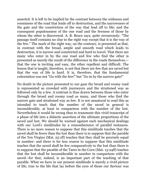asserted. It is left to be implied by the contrast between the wideness and roominess of the road that leads off to destruction, and the narrowness of the gate and the constriction of the way that lead off to life; and the consequent populousness of the one road and the fewness of those by whom the other is discovered. A. B. Bruce says, quite erroneously: "The passage itself contains no clue to the right way except that it is the way of the few." The mark of the right way, on the contrary, is presented as that, in contrast with the broad, ample and smooth road which leads to destruction, it is narrow and constricted and hard to travel. That there are many who enter in by the one road and few who find the other is presented as merely the result of the difference in the roads themselves, that the one is inviting and easy, the other repellent and difficult. The lesson that is taught, therefore, is not that there are few that are saved but that the way of life is hard. It is, therefore, that the fundamental exhortation was not "Go with the few!" but "Go in by the narrow gate!"

No doubt in the picture presented to our gaze the broad and roomy road is represented as crowded with journeyers and the straitened way as followed only by a few. A contrast is thus drawn between those who enter through the broad and roomy road as many, and those who find the narrow gate and straitened way as few. It is not unnatural to read this as intended to teach that the number of the saved in general is inconsiderable, at least in comparison with the number of the lost. Nevertheless it would be wrong thus to transmute this vivid transcript of a phase of life into a didactic assertion of the ultimate proportions of the saved and lost. We should be warned against such mechanical dealings with our Lord's similitudes by a rememberance of parallel instances. There is no more reason to suppose that this similitude teaches that the saved shall be fewer than the lost than there is to suppose that the parable of the Ten Virgins (Mat. 25:1ff) teaches that they shall be precisely equal in number: and there is far less reason to suppose that this similitude teaches that the saved shall be few comparatively to the lost than there is to suppose that the parable of the Tares in the Corn (Mat. 13:24ff) teaches that the lost shall be inconsiderable in number in comparison with the saved—for that, indeed, is an important part of the teaching of that parable. What we have in our present similitude is merely a vivid picture of life, true to the life that lay before the eyes of those our Saviour was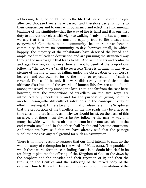addressing; true, no doubt, too, to the life that lies still before our eyes after two thousand years have passed; and therefore carrying home to their consciences and to ours with poignancy and effect the fundamental teaching of the similitude—that the way of life is hard and it is our first duty to address ourselves with vigor to walking firmly in it. But why must we say that this similitude must be equally true to life always and everywhere? Can there be no community—has there never been a community, is there no community to-day—however small, in which, happily, the majority of the inhabitants have deserted the broad and ample road that leads to destruction and are pursuing the straitened way through the narrow gate that leads to life? And as the years and centuries and ages flow on, can it never be—is it not to be—that the proportions following "the two ways" shall be reversed? There is nothing in this vivid picture of the life of man as falling under the observation of our Lord's hearers—and our own—to forbid the hope—or expectation—of such a reversal. That could be only if it were didactically asserted that in the ultimate distribution of the awards of human life, few are to be found among the saved, many among the lost. That is so far from the case here, however, that the proportions of travellers on the two ways are introduced only incidentally and for the purpose of giving point to another lesson,—the difficulty of salvation and the consequent duty of effort in seeking it. If there be any intimation elsewhere in the Scriptures that the proportions of the travellers on the two roads may be altered as time goes on, there is no reason why we should insist, on the basis of this passage, that there must always be few following the narrow way and many the wide—with the result that the sum in the one case shall to the end remain small and in the other shall by the end become enormous. And when we have said that we have already said that the passage supplies in no case any real ground for such an assumption.

There is no more reason to suppose that our Lord intends to sum up the whole history of redemption in the words of Matt. 22:14. The parable of which these words form the concluding clause is no doubt historical in its teaching; it pictures the offering of the Kingdom of God to the Jews by the prophets and the apostles and their rejection of it; and then the turning to the Gentiles and the gathering of the mixed body of the external church. It is with His eye on the rejection of the invitation of the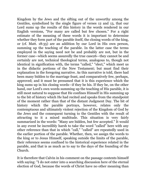Kingdom by the Jews and the sifting out of the unworthy among the Gentiles, symbolized by the single figure of verses 12 and 13, that our Lord sums up the results of this history in the words rendered in our English versions, "For many are called but few chosen." For a right estimate of the meaning of these words it is important to determine whether they form part of the parable itself, the closing words of the king, or (cf. Matt. 18:35) are an addition by our Lord in His own person, summing up the teaching of the parable. In the latter case the terms employed in the saying need not be and probably are not, but in the former case—which seems assuredly the true case26—they cannot be and certainly are not, technical theological terms, analogous to, though not identical in signification with, the terms "called," "elect," which meet us in the didactic portions of the New Testament; but must find their explanation in the foregoing narrative. As this narrative is told, there had been many bidden to the marriage feast, and comparatively few, perhaps, approved; and it must be presumed that it is this experience which the king sums up in his closing words—if they be his. If they be, on the other hand, our Lord's own words summing up the teaching of His parable, it is still most natural to suppose that He confines Himself in His summing up to the bit of history which He had recited and speaks from the standpoint of the moment rather than that of the distant Judgment Day. The bit of history which the parable portrays, however, relates only the contemptuous and ultimately violent rejection of the Kingdom of God by the Jews and the consequent turning to the Gentiles with the result of attracting to it a mixed multitude. This situation is very fairly summarized in the words: "Many are bidden, but few accepted." It would in any event be incredibly harsh to take the word "called" here with any other reference than that in which "call," "called" are repeatedly used in the earlier portion of the parable. Whether, then, we assign the words to the king or to Jesus Himself, speaking outside the limits of the parable, their reference seems confined to the historical experience related in the parable, and that is as much as to say to the days of the founding of the Church.

It is therefore that Calvin in his comment on the passage contents himself with saying: "I do not enter into a searching discussion here of the eternal election of God, because the words of Christ have no other meaning than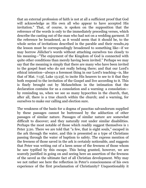that an external profession of faith is not at all a sufficient proof that God will acknowledge as His own all who appear to have accepted His invitation." That, of course, is spoken on the supposition that the reference of the words is only to the immediately preceding verses, which describe the casting out of the man who had not on a wedding garment. If the reference be broadened, as it would seem that it should be, to the whole series of invitations described in the parable and their results,29 the lesson must be correspondingly broadened to something like—if we may borrow Jülicher's words without attaching ourselves too closely to his meaning—"The enjoyment of the Kingdom of God is connected with quite other conditions than merely having been invited." Perhaps we may say that the meaning is simply that there are many who have been invited to the gospel feast who do not really belong there; and that our Lord's ethical intention—always a foremost thing in our Lord's teaching—is, like that of Mat. 7:13f, Luke 13:23f, to incite His hearers to see to it that they both respond to the invitation of the Gospel and live according to it. This is finely brought out by Melanchthon in the intimation that the declaration contains for us a consolation and a warning: a consolation by reminding us, when we see so many hypocrites in the church, that, after all, there is a true church within the church; and a warning, for ourselves to make our calling and election sure.

The weakness of the basis for a dogma of paucitas salvandorum supplied by these passages cannot be buttressed by the adduction of other passages of similar nature. Passages of similar nature are somewhat difficult to discover; and they naturally rest under similar disabilities. Perhaps the most notable of those which readily suggest themselves is 1 Peter 3:20. There we are told that "a few, that is eight souls," escaped in the ark through the water, and this is presented as a type of Christians passing through the water of baptism to safety. The express mention of the fewness of those saved in the ark is certainly noticeable, and suggests that Peter was writing out of a keen sense of the fewness of those whom he saw typified by this escape. This being granted, however, we are scarcely justified in going on and seeing here an assertion of the fewness of the saved as the ultimate fact of all Christian development. Why may we not rather see here the reflection in Peter's consciousness of his own experience of the first proclamation of Christianity? Unquestionably it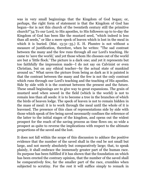was in very small beginnings that the Kingdom of God began; or, perhaps, the right form of statement is that the Kingdom of God has begun—for is not this church of the twentieth century still the primitive church?"34 To our Lord, to His apostles, to His followers up to to-day the Kingdom of God has been like the mustard seed, "which indeed is less than all seeds," or like a mere speck of leaven which is lost in the meal in which it is buried. (Mat. 13:31–35.) E. H. Plumtre is not without a measure of justification, therefore, when he writes: "The sad contrast between the many and the few runs through all our Lord's teaching. He came to 'save the world,' and yet those whom He chooses out of the world are but a 'little flock.' The picture is a dark one; and yet it represents but too faithfully the impression made—I do not say on Calvinist or even Christian, but on any ethical teacher—by the actual state of mankind around us." What saves the picture from being as dark as it is painted is that the contrast between the many and the few is not the only contrast which runs through our Lord's teaching and the teaching of His apostles. Side by side with it is the contrast between the present and the future. These small beginnings are to give way to great expansions. The grain of mustard seed when sowed in the field (which is the world) is not to remain less than all seeds: it is to become a tree in the branches of which the birds of heaven lodge. The speck of leaven is not to remain hidden in the mass of meal: it is to work through the meal until the whole of it is leavened. The presence of this class of representations side by side with those which speak of few being saved necessarily confines the reference of the latter to the initial stages of the kingdom, and opens out the widest prospect for the reach of the saving process as time flows on; so wide a prospect as quite to reverse the implications with respect to the ultimate proportions of the saved and the lost.

It does not fall within the scope of this discussion to adduce the positive evidence that the number of the saved shall in the end be not small but large, and not merely absolutely but comparatively large; that, to speak plainly, it shall embrace the immensely greater part of the human race. Its purpose has been fulfilled if it has shown that the foundation on which has been erected the contrary opinion, that the number of the saved shall be comparatively few, far the smaller part of the race, crumbles when subjected to scrutiny. For the rest it will suffice simply to remark in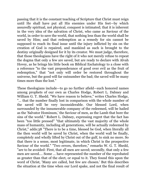passing that it is the constant teaching of Scripture that Christ must reign until He shall have put all His enemies under His feet—by which assuredly spiritual, not physical, conquest is intimated; that it is inherent in the very idea of the salvation of Christ, who came as Saviour of the world, in order to save the world, that nothing less than the world shall be saved by Him; and that redemption as a remedy for sin cannot be supposed to reach its final issue until the injury inflicted by sin on the creation of God is repaired, and mankind as such is brought to the destiny originally designed for it by its creator. We must judge, therefore, that those theologians have the right of it who not merely refuse to repeat the dogma that only a few are saved, but are ready to declare with Alvah Hovey, as he brings his little book on Biblical Eschatology to a close with a reference "to the vast preponderance of good over evil as the fruit of redemption," that "not only will order be restored throughout the universe, but the good will far outnumber the bad; the saved will be many times more than the lost."

These theologians include—to go no further afield—such honored names among prophets of our own as Charles Hodge, Robert L. Dabney and William G. T. Shedd. "We have reason to believe," writes Charles Hodge, "… that the number finally lost in comparison with the whole number of the saved will be very inconsiderable. Our blessed Lord, when surrounded by the innumerable company of the redeemed, will be hailed as the 'Salvator Hominum,' the Saviour of men, as the Lamb that bore the sins of the world." Robert L. Dabney, expressing regret that the fact has been "too little pressed" "that ultimately the vast majority of the whole mass of humanity, including all generations, will be actually redeemed by Christ," adds:38 "There is to be a time, blessed be God, when literally all the then world will be saved by Christ, when the world wall be finally, completely and wholly lifted by Christ out of the gulf, to sink no more. So that there is a sense, most legitimate, in which Christ is the prospective Saviour of the world." "Two errors, therefore," remarks W. G. T. Shedd, "are to be avoided: First, that all men are saved; secondly, that only a few men are saved.… Some … have represented the number of the reprobated as greater than that of the elect, or equal to it. They found this upon the word of Christ, 'Many are called, but few are chosen.' But this describes the situation at the time when our Lord spake, and not the final result of